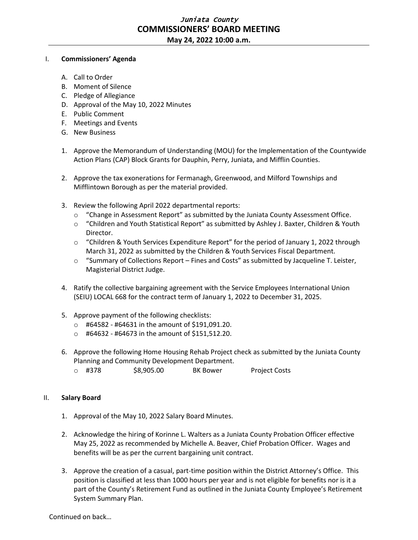## Juniata County **COMMISSIONERS' BOARD MEETING**

**May 24, 2022 10:00 a.m.**

## I. **Commissioners' Agenda**

- A. Call to Order
- B. Moment of Silence
- C. Pledge of Allegiance
- D. Approval of the May 10, 2022 Minutes
- E. Public Comment
- F. Meetings and Events
- G. New Business
- 1. Approve the Memorandum of Understanding (MOU) for the Implementation of the Countywide Action Plans (CAP) Block Grants for Dauphin, Perry, Juniata, and Mifflin Counties.
- 2. Approve the tax exonerations for Fermanagh, Greenwood, and Milford Townships and Mifflintown Borough as per the material provided.
- 3. Review the following April 2022 departmental reports:
	- o "Change in Assessment Report" as submitted by the Juniata County Assessment Office.
	- o "Children and Youth Statistical Report" as submitted by Ashley J. Baxter, Children & Youth Director.
	- o "Children & Youth Services Expenditure Report" for the period of January 1, 2022 through March 31, 2022 as submitted by the Children & Youth Services Fiscal Department.
	- $\circ$  "Summary of Collections Report Fines and Costs" as submitted by Jacqueline T. Leister, Magisterial District Judge.
- 4. Ratify the collective bargaining agreement with the Service Employees International Union (SEIU) LOCAL 668 for the contract term of January 1, 2022 to December 31, 2025.
- 5. Approve payment of the following checklists:
	- o #64582 #64631 in the amount of \$191,091.20.
	- o #64632 #64673 in the amount of \$151,512.20.
- 6. Approve the following Home Housing Rehab Project check as submitted by the Juniata County Planning and Community Development Department.
	- o #378 \$8,905.00 BK Bower Project Costs

## II. **Salary Board**

- 1. Approval of the May 10, 2022 Salary Board Minutes.
- 2. Acknowledge the hiring of Korinne L. Walters as a Juniata County Probation Officer effective May 25, 2022 as recommended by Michelle A. Beaver, Chief Probation Officer. Wages and benefits will be as per the current bargaining unit contract.
- 3. Approve the creation of a casual, part-time position within the District Attorney's Office. This position is classified at less than 1000 hours per year and is not eligible for benefits nor is it a part of the County's Retirement Fund as outlined in the Juniata County Employee's Retirement System Summary Plan.

Continued on back…